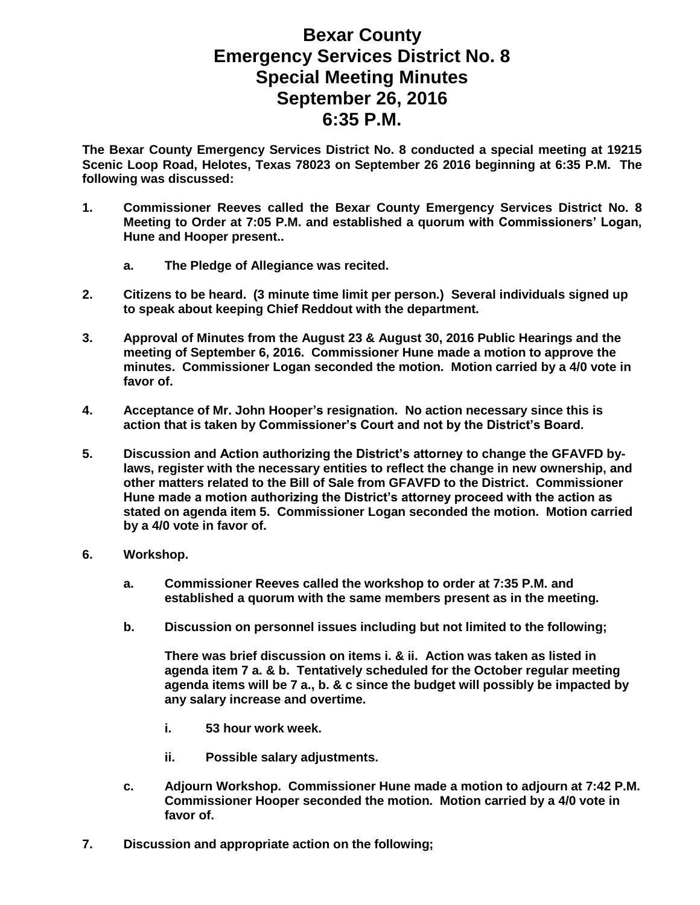## **Bexar County Emergency Services District No. 8 Special Meeting Minutes September 26, 2016 6:35 P.M.**

**The Bexar County Emergency Services District No. 8 conducted a special meeting at 19215 Scenic Loop Road, Helotes, Texas 78023 on September 26 2016 beginning at 6:35 P.M. The following was discussed:**

- **1. Commissioner Reeves called the Bexar County Emergency Services District No. 8 Meeting to Order at 7:05 P.M. and established a quorum with Commissioners' Logan, Hune and Hooper present..**
	- **a. The Pledge of Allegiance was recited.**
- **2. Citizens to be heard. (3 minute time limit per person.) Several individuals signed up to speak about keeping Chief Reddout with the department.**
- **3. Approval of Minutes from the August 23 & August 30, 2016 Public Hearings and the meeting of September 6, 2016. Commissioner Hune made a motion to approve the minutes. Commissioner Logan seconded the motion. Motion carried by a 4/0 vote in favor of.**
- **4. Acceptance of Mr. John Hooper's resignation. No action necessary since this is action that is taken by Commissioner's Court and not by the District's Board.**
- **5. Discussion and Action authorizing the District's attorney to change the GFAVFD bylaws, register with the necessary entities to reflect the change in new ownership, and other matters related to the Bill of Sale from GFAVFD to the District. Commissioner Hune made a motion authorizing the District's attorney proceed with the action as stated on agenda item 5. Commissioner Logan seconded the motion. Motion carried by a 4/0 vote in favor of.**
- **6. Workshop.**
	- **a. Commissioner Reeves called the workshop to order at 7:35 P.M. and established a quorum with the same members present as in the meeting.**
	- **b. Discussion on personnel issues including but not limited to the following;**

**There was brief discussion on items i. & ii. Action was taken as listed in agenda item 7 a. & b. Tentatively scheduled for the October regular meeting agenda items will be 7 a., b. & c since the budget will possibly be impacted by any salary increase and overtime.** 

- **i. 53 hour work week.**
- **ii. Possible salary adjustments.**
- **c. Adjourn Workshop. Commissioner Hune made a motion to adjourn at 7:42 P.M. Commissioner Hooper seconded the motion. Motion carried by a 4/0 vote in favor of.**
- **7. Discussion and appropriate action on the following;**